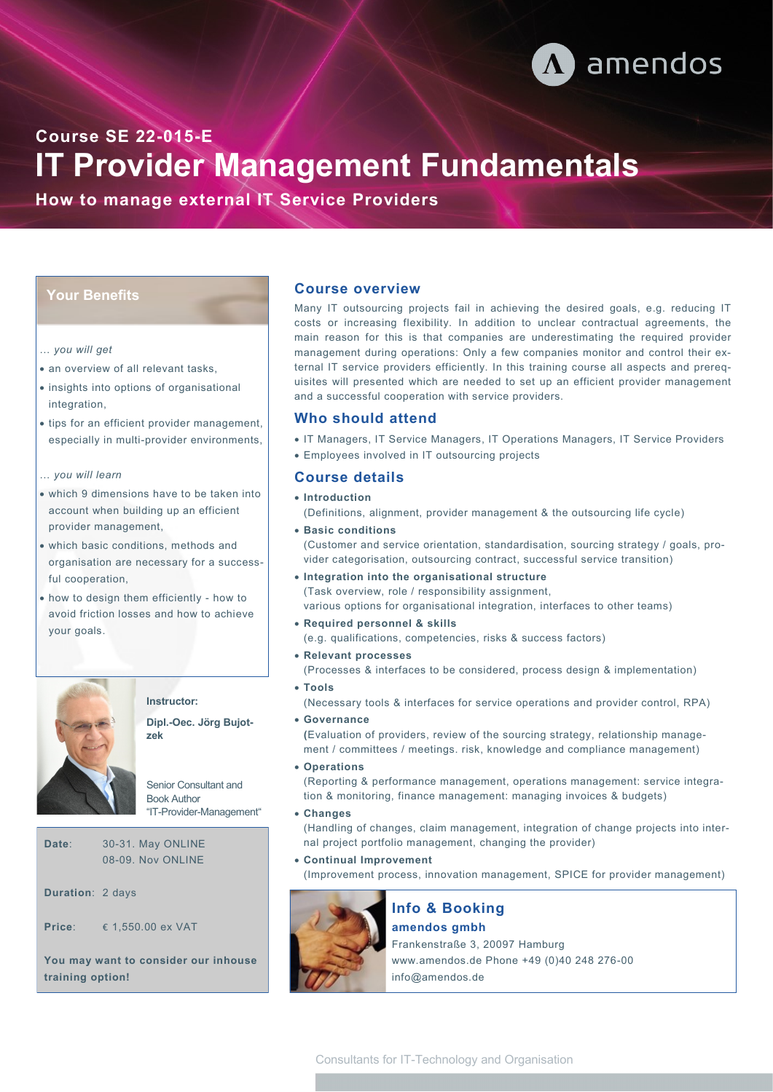

**IT Provider Management Fundamentals Course SE 22-015-E** 

**How to manage external IT Service Providers** 

## **Your Benefits**

#### … *you will get*

- an overview of all relevant tasks.
- insights into options of organisational integration,
- tips for an efficient provider management, especially in multi-provider environments,
- … *you will learn*
- which 9 dimensions have to be taken into account when building up an efficient provider management,
- which basic conditions, methods and organisation are necessary for a successful cooperation,
- how to design them efficiently how to avoid friction losses and how to achieve your goals.



# **Instructor:**

**Dipl.-Oec. Jörg Bujotzek**

Senior Consultant and Book Author "IT-Provider-Management"

**Date**:30-31. May ONLINE 08-09. Nov ONLINE

**Duration**: 2 days

**Price**: € 1,550.00 ex VAT

**You may want to consider our inhouse training option!**

#### **Course overview**

Many IT outsourcing projects fail in achieving the desired goals, e.g. reducing IT costs or increasing flexibility. In addition to unclear contractual agreements, the main reason for this is that companies are underestimating the required provider management during operations: Only a few companies monitor and control their external IT service providers efficiently. In this training course all aspects and prerequisites will presented which are needed to set up an efficient provider management and a successful cooperation with service providers.

### **Who should attend**

• IT Managers, IT Service Managers, IT Operations Managers, IT Service Providers • Employees involved in IT outsourcing projects

#### **Course details**

• **Introduction**  (Definitions, alignment, provider management & the outsourcing life cycle)

• **Basic conditions**  (Customer and service orientation, standardisation, sourcing strategy / goals, provider categorisation, outsourcing contract, successful service transition)

- **Integration into the organisational structure**  (Task overview, role / responsibility assignment, various options for organisational integration, interfaces to other teams)
- **Required personnel & skills**  (e.g. qualifications, competencies, risks & success factors)
- **Relevant processes**  (Processes & interfaces to be considered, process design & implementation)

• **Tools**  (Necessary tools & interfaces for service operations and provider control, RPA)

• **Governance**

**(**Evaluation of providers, review of the sourcing strategy, relationship management / committees / meetings. risk, knowledge and compliance management)

• **Operations** 

(Reporting & performance management, operations management: service integration & monitoring, finance management: managing invoices & budgets)

• **Changes**

(Handling of changes, claim management, integration of change projects into internal project portfolio management, changing the provider)

• **Continual Improvement**

(Improvement process, innovation management, SPICE for provider management)



**amendos gmbh** Frankenstraße 3, 20097 Hamburg www.amendos.de Phone +49 (0)40 248 276-00 info@amendos.de